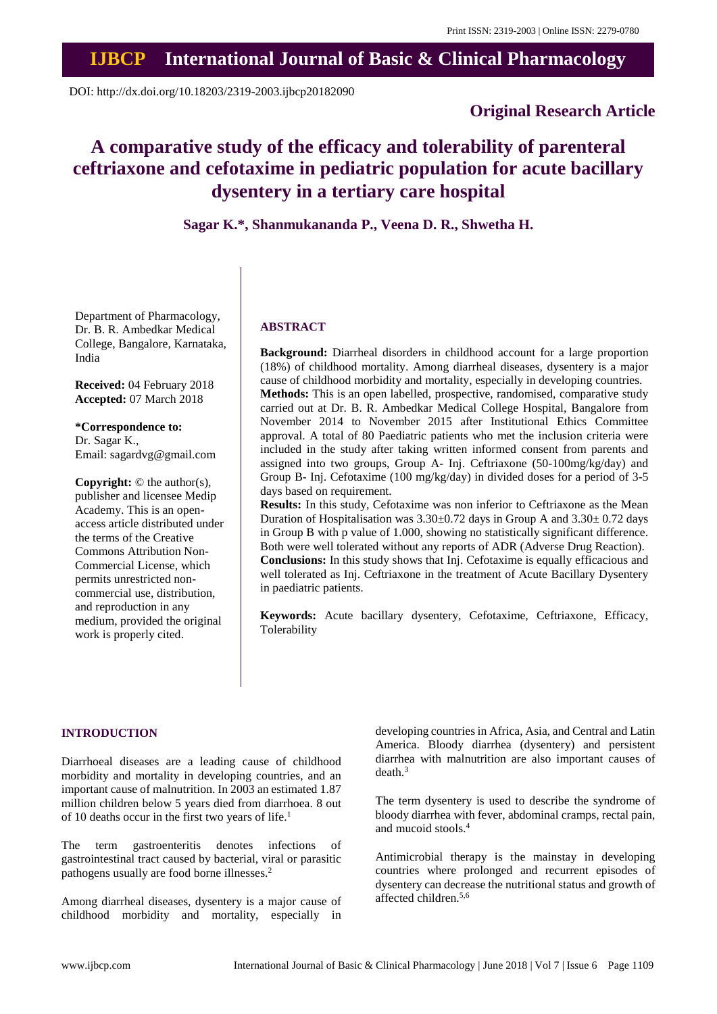# **IJBCP International Journal of Basic & Clinical Pharmacology**

DOI: http://dx.doi.org/10.18203/2319-2003.ijbcp20182090

## **Original Research Article**

## **A comparative study of the efficacy and tolerability of parenteral ceftriaxone and cefotaxime in pediatric population for acute bacillary dysentery in a tertiary care hospital**

**Sagar K.\*, Shanmukananda P., Veena D. R., Shwetha H.**

Department of Pharmacology, Dr. B. R. Ambedkar Medical College, Bangalore, Karnataka, India

**Received:** 04 February 2018 **Accepted:** 07 March 2018

**\*Correspondence to:** Dr. Sagar K., Email: sagardvg@gmail.com

**Copyright:** © the author(s), publisher and licensee Medip Academy. This is an openaccess article distributed under the terms of the Creative Commons Attribution Non-Commercial License, which permits unrestricted noncommercial use, distribution, and reproduction in any medium, provided the original work is properly cited.

## **ABSTRACT**

**Background:** Diarrheal disorders in childhood account for a large proportion (18%) of childhood mortality. Among diarrheal diseases, dysentery is a major cause of childhood morbidity and mortality, especially in developing countries. **Methods:** This is an open labelled, prospective, randomised, comparative study carried out at Dr. B. R. Ambedkar Medical College Hospital, Bangalore from November 2014 to November 2015 after Institutional Ethics Committee approval. A total of 80 Paediatric patients who met the inclusion criteria were included in the study after taking written informed consent from parents and assigned into two groups, Group A- Inj. Ceftriaxone (50-100mg/kg/day) and Group B- Inj. Cefotaxime (100 mg/kg/day) in divided doses for a period of 3-5 days based on requirement.

**Results:** In this study, Cefotaxime was non inferior to Ceftriaxone as the Mean Duration of Hospitalisation was  $3.30\pm0.72$  days in Group A and  $3.30\pm0.72$  days in Group B with p value of 1.000, showing no statistically significant difference. Both were well tolerated without any reports of ADR (Adverse Drug Reaction). **Conclusions:** In this study shows that Inj. Cefotaxime is equally efficacious and well tolerated as Inj. Ceftriaxone in the treatment of Acute Bacillary Dysentery in paediatric patients.

**Keywords:** Acute bacillary dysentery, Cefotaxime, Ceftriaxone, Efficacy, Tolerability

## **INTRODUCTION**

Diarrhoeal diseases are a leading cause of childhood morbidity and mortality in developing countries, and an important cause of malnutrition. In 2003 an estimated 1.87 million children below 5 years died from diarrhoea. 8 out of 10 deaths occur in the first two years of life.<sup>1</sup>

The term gastroenteritis denotes infections of gastrointestinal tract caused by bacterial, viral or parasitic pathogens usually are food borne illnesses.<sup>2</sup>

Among diarrheal diseases, dysentery is a major cause of childhood morbidity and mortality, especially in developing countries in Africa, Asia, and Central and Latin America. Bloody diarrhea (dysentery) and persistent diarrhea with malnutrition are also important causes of death.<sup>3</sup>

The term dysentery is used to describe the syndrome of bloody diarrhea with fever, abdominal cramps, rectal pain, and mucoid stools.<sup>4</sup>

Antimicrobial therapy is the mainstay in developing countries where prolonged and recurrent episodes of dysentery can decrease the nutritional status and growth of affected children.5,6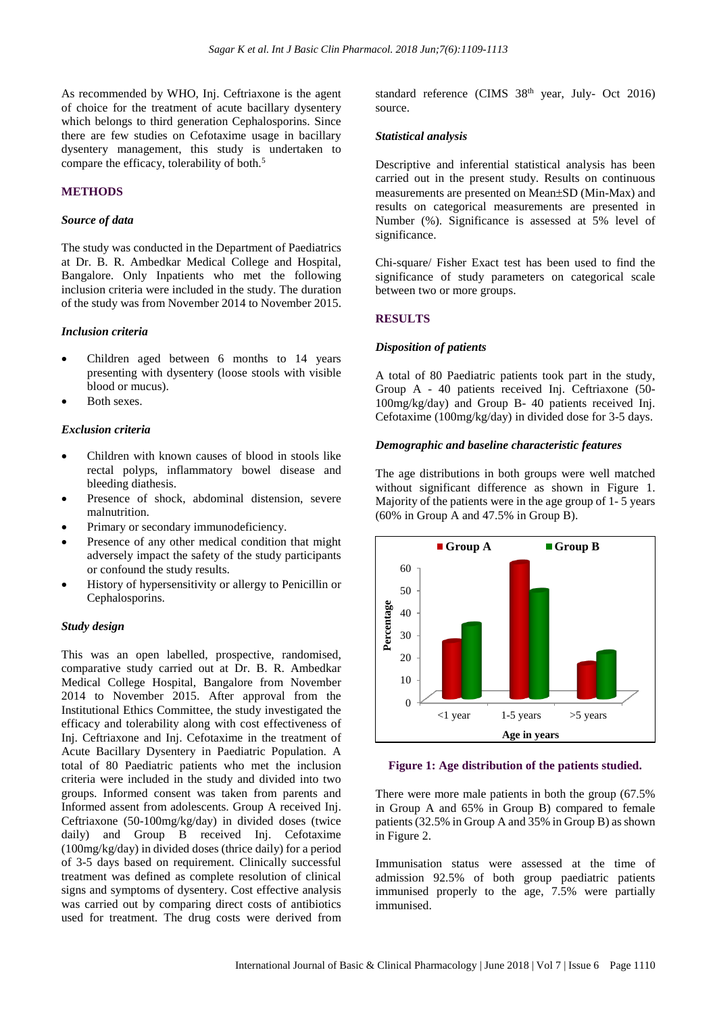As recommended by WHO, Inj. Ceftriaxone is the agent of choice for the treatment of acute bacillary dysentery which belongs to third generation Cephalosporins. Since there are few studies on Cefotaxime usage in bacillary dysentery management, this study is undertaken to compare the efficacy, tolerability of both.<sup>5</sup>

#### **METHODS**

#### *Source of data*

The study was conducted in the Department of Paediatrics at Dr. B. R. Ambedkar Medical College and Hospital, Bangalore. Only Inpatients who met the following inclusion criteria were included in the study. The duration of the study was from November 2014 to November 2015.

#### *Inclusion criteria*

- Children aged between 6 months to 14 years presenting with dysentery (loose stools with visible blood or mucus).
- Both sexes.

## *Exclusion criteria*

- Children with known causes of blood in stools like rectal polyps, inflammatory bowel disease and bleeding diathesis.
- Presence of shock, abdominal distension, severe malnutrition.
- Primary or secondary immunodeficiency.
- Presence of any other medical condition that might adversely impact the safety of the study participants or confound the study results.
- History of hypersensitivity or allergy to Penicillin or Cephalosporins.

#### *Study design*

This was an open labelled, prospective, randomised, comparative study carried out at Dr. B. R. Ambedkar Medical College Hospital, Bangalore from November 2014 to November 2015. After approval from the Institutional Ethics Committee, the study investigated the efficacy and tolerability along with cost effectiveness of Inj. Ceftriaxone and Inj. Cefotaxime in the treatment of Acute Bacillary Dysentery in Paediatric Population. A total of 80 Paediatric patients who met the inclusion criteria were included in the study and divided into two groups. Informed consent was taken from parents and Informed assent from adolescents. Group A received Inj. Ceftriaxone (50-100mg/kg/day) in divided doses (twice daily) and Group B received Inj. Cefotaxime (100mg/kg/day) in divided doses (thrice daily) for a period of 3-5 days based on requirement. Clinically successful treatment was defined as complete resolution of clinical signs and symptoms of dysentery. Cost effective analysis was carried out by comparing direct costs of antibiotics used for treatment. The drug costs were derived from standard reference (CIMS 38<sup>th</sup> year, July- Oct 2016) source.

#### *Statistical analysis*

Descriptive and inferential statistical analysis has been carried out in the present study. Results on continuous measurements are presented on Mean±SD (Min-Max) and results on categorical measurements are presented in Number (%). Significance is assessed at 5% level of significance.

Chi-square/ Fisher Exact test has been used to find the significance of study parameters on categorical scale between two or more groups.

#### **RESULTS**

#### *Disposition of patients*

A total of 80 Paediatric patients took part in the study, Group A - 40 patients received Inj. Ceftriaxone (50- 100mg/kg/day) and Group B- 40 patients received Inj. Cefotaxime (100mg/kg/day) in divided dose for 3-5 days.

#### *Demographic and baseline characteristic features*

The age distributions in both groups were well matched without significant difference as shown in Figure 1. Majority of the patients were in the age group of 1- 5 years (60% in Group A and 47.5% in Group B).



#### **Figure 1: Age distribution of the patients studied.**

There were more male patients in both the group (67.5% in Group A and 65% in Group B) compared to female patients (32.5% in Group A and 35% in Group B) as shown in Figure 2.

Immunisation status were assessed at the time of admission 92.5% of both group paediatric patients immunised properly to the age, 7.5% were partially immunised.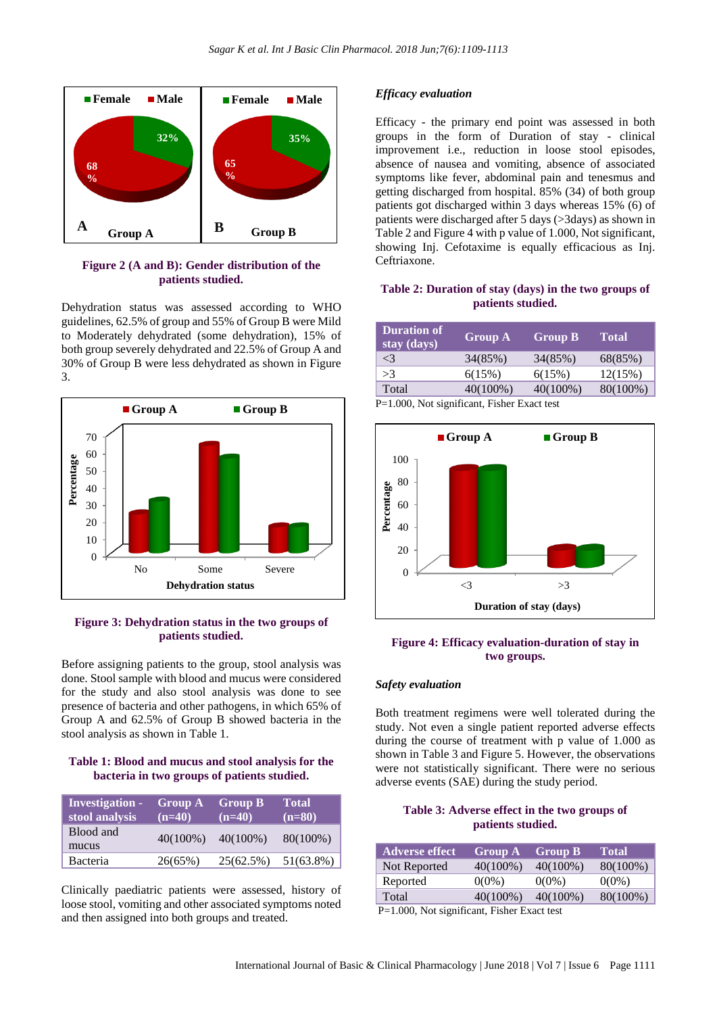

#### **Figure 2 (A and B): Gender distribution of the patients studied.**

Dehydration status was assessed according to WHO guidelines, 62.5% of group and 55% of Group B were Mild to Moderately dehydrated (some dehydration), 15% of both group severely dehydrated and 22.5% of Group A and 30% of Group B were less dehydrated as shown in Figure 3.



#### **Figure 3: Dehydration status in the two groups of patients studied.**

Before assigning patients to the group, stool analysis was done. Stool sample with blood and mucus were considered for the study and also stool analysis was done to see presence of bacteria and other pathogens, in which 65% of Group A and 62.5% of Group B showed bacteria in the stool analysis as shown in Table 1.

## **Table 1: Blood and mucus and stool analysis for the bacteria in two groups of patients studied.**

| <b>Investigation -</b><br>stool analysis | <b>Group A</b><br>$(n=40)$ | <b>Group B</b><br>$(n=40)$ | <b>Total</b><br>$(n=80)$ |
|------------------------------------------|----------------------------|----------------------------|--------------------------|
| Blood and<br>mucus                       | $40(100\%)$                | $40(100\%)$                | $80(100\%)$              |
| Bacteria                                 | 26(65%)                    | 25(62.5%)                  | 51(63.8%)                |

Clinically paediatric patients were assessed, history of loose stool, vomiting and other associated symptoms noted and then assigned into both groups and treated.

## *Efficacy evaluation*

Efficacy - the primary end point was assessed in both groups in the form of Duration of stay - clinical improvement i.e., reduction in loose stool episodes, absence of nausea and vomiting, absence of associated symptoms like fever, abdominal pain and tenesmus and getting discharged from hospital. 85% (34) of both group patients got discharged within 3 days whereas 15% (6) of patients were discharged after 5 days (>3days) as shown in Table 2 and Figure 4 with p value of 1.000, Not significant, showing Inj. Cefotaxime is equally efficacious as Inj. Ceftriaxone.

## **Table 2: Duration of stay (days) in the two groups of patients studied.**

| <b>Duration of</b><br>stay (days)                   | <b>Group A</b> | <b>Group B</b> | <b>Total</b> |
|-----------------------------------------------------|----------------|----------------|--------------|
| $\leq$ 3                                            | 34(85%)        | 34(85%)        | 68(85%)      |
| >3                                                  | 6(15%)         | 6(15%)         | 12(15%)      |
| Total                                               | $40(100\%)$    | $40(100\%)$    | 80(100%)     |
| <b>D</b> -1.000. Not significant. Fisher Exact test |                |                |              |

P=1.000, Not significant, Fisher Exact test



#### **Figure 4: Efficacy evaluation-duration of stay in two groups.**

#### *Safety evaluation*

Both treatment regimens were well tolerated during the study. Not even a single patient reported adverse effects during the course of treatment with p value of 1.000 as shown in Table 3 and Figure 5. However, the observations were not statistically significant. There were no serious adverse events (SAE) during the study period.

#### **Table 3: Adverse effect in the two groups of patients studied.**

| <b>Adverse effect</b>                            | <b>Group A</b> | <b>Group B</b> | <b>Total</b> |  |  |
|--------------------------------------------------|----------------|----------------|--------------|--|--|
| Not Reported                                     | $40(100\%)$    | $40(100\%)$    | 80(100%)     |  |  |
| Reported                                         | $0(0\%)$       | $0(0\%)$       | $0(0\%)$     |  |  |
| Total                                            | $40(100\%)$    | $40(100\%)$    | 80(100%)     |  |  |
| $D-1$ , 000. Not significant. Eigher Expect toot |                |                |              |  |  |

P=1.000, Not significant, Fisher Exact test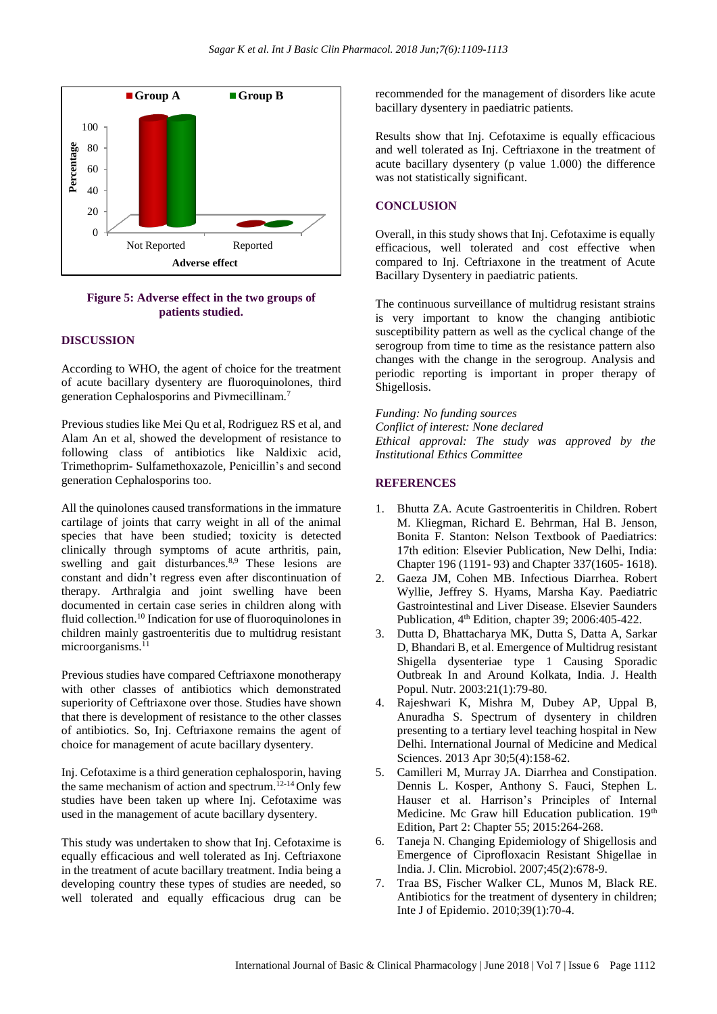

**Figure 5: Adverse effect in the two groups of patients studied.**

## **DISCUSSION**

According to WHO, the agent of choice for the treatment of acute bacillary dysentery are fluoroquinolones, third generation Cephalosporins and Pivmecillinam.<sup>7</sup>

Previous studies like Mei Qu et al, Rodriguez RS et al, and Alam An et al, showed the development of resistance to following class of antibiotics like Naldixic acid, Trimethoprim- Sulfamethoxazole, Penicillin's and second generation Cephalosporins too.

All the quinolones caused transformations in the immature cartilage of joints that carry weight in all of the animal species that have been studied; toxicity is detected clinically through symptoms of acute arthritis, pain, swelling and gait disturbances.<sup>8,9</sup> These lesions are constant and didn't regress even after discontinuation of therapy. Arthralgia and joint swelling have been documented in certain case series in children along with fluid collection.<sup>10</sup> Indication for use of fluoroquinolones in children mainly gastroenteritis due to multidrug resistant microorganisms.<sup>11</sup>

Previous studies have compared Ceftriaxone monotherapy with other classes of antibiotics which demonstrated superiority of Ceftriaxone over those. Studies have shown that there is development of resistance to the other classes of antibiotics. So, Inj. Ceftriaxone remains the agent of choice for management of acute bacillary dysentery.

Inj. Cefotaxime is a third generation cephalosporin, having the same mechanism of action and spectrum.<sup>12-14</sup> Only few studies have been taken up where Inj. Cefotaxime was used in the management of acute bacillary dysentery.

This study was undertaken to show that Inj. Cefotaxime is equally efficacious and well tolerated as Inj. Ceftriaxone in the treatment of acute bacillary treatment. India being a developing country these types of studies are needed, so well tolerated and equally efficacious drug can be recommended for the management of disorders like acute bacillary dysentery in paediatric patients.

Results show that Inj. Cefotaxime is equally efficacious and well tolerated as Inj. Ceftriaxone in the treatment of acute bacillary dysentery (p value 1.000) the difference was not statistically significant.

## **CONCLUSION**

Overall, in this study shows that Inj. Cefotaxime is equally efficacious, well tolerated and cost effective when compared to Inj. Ceftriaxone in the treatment of Acute Bacillary Dysentery in paediatric patients.

The continuous surveillance of multidrug resistant strains is very important to know the changing antibiotic susceptibility pattern as well as the cyclical change of the serogroup from time to time as the resistance pattern also changes with the change in the serogroup. Analysis and periodic reporting is important in proper therapy of Shigellosis.

#### *Funding: No funding sources*

*Conflict of interest: None declared Ethical approval: The study was approved by the Institutional Ethics Committee*

#### **REFERENCES**

- 1. Bhutta ZA. Acute Gastroenteritis in Children. Robert M. Kliegman, Richard E. Behrman, Hal B. Jenson, Bonita F. Stanton: Nelson Textbook of Paediatrics: 17th edition: Elsevier Publication, New Delhi, India: Chapter 196 (1191- 93) and Chapter 337(1605- 1618).
- 2. Gaeza JM, Cohen MB. Infectious Diarrhea. Robert Wyllie, Jeffrey S. Hyams, Marsha Kay. Paediatric Gastrointestinal and Liver Disease. Elsevier Saunders Publication, 4<sup>th</sup> Edition, chapter 39; 2006:405-422.
- 3. Dutta D, Bhattacharya MK, Dutta S, Datta A, Sarkar D, Bhandari B, et al. Emergence of Multidrug resistant Shigella dysenteriae type 1 Causing Sporadic Outbreak In and Around Kolkata, India. J. Health Popul. Nutr. 2003:21(1):79-80.
- 4. Rajeshwari K, Mishra M, Dubey AP, Uppal B, Anuradha S. Spectrum of dysentery in children presenting to a tertiary level teaching hospital in New Delhi. International Journal of Medicine and Medical Sciences. 2013 Apr 30;5(4):158-62.
- 5. Camilleri M, Murray JA. Diarrhea and Constipation. Dennis L. Kosper, Anthony S. Fauci, Stephen L. Hauser et al. Harrison's Principles of Internal Medicine. Mc Graw hill Education publication. 19th Edition, Part 2: Chapter 55; 2015:264-268.
- 6. Taneja N. Changing Epidemiology of Shigellosis and Emergence of Ciprofloxacin Resistant Shigellae in India. J. Clin. Microbiol. 2007;45(2):678-9.
- 7. Traa BS, Fischer Walker CL, Munos M, Black RE. Antibiotics for the treatment of dysentery in children; Inte J of Epidemio. 2010;39(1):70-4.